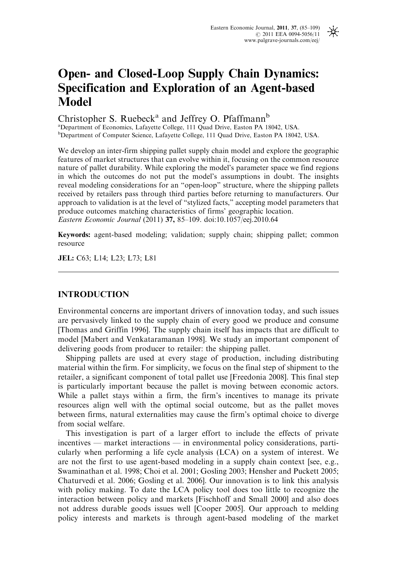# 米

## Open- and Closed-Loop Supply Chain Dynamics: Specification and Exploration of an Agent-based Model

Christopher S. Ruebeck<sup>a</sup> and Jeffrey O. Pfaffmann<sup>b</sup> <sup>a</sup>Department of Economics, Lafayette College, 111 Quad Drive, Easton PA 18042, USA. <sup>b</sup>Department of Computer Science, Lafayette College, 111 Quad Drive, Easton PA 18042, USA.

We develop an inter-firm shipping pallet supply chain model and explore the geographic features of market structures that can evolve within it, focusing on the common resource nature of pallet durability. While exploring the model's parameter space we find regions in which the outcomes do not put the model's assumptions in doubt. The insights reveal modeling considerations for an "open-loop" structure, where the shipping pallets received by retailers pass through third parties before returning to manufacturers. Our approach to validation is at the level of "stylized facts," accepting model parameters that produce outcomes matching characteristics of firms' geographic location. Eastern Economic Journal (2011) 37, 85–109. doi:10.1057/eej.2010.64

Keywords: agent-based modeling; validation; supply chain; shipping pallet; common resource

JEL: C63; L14; L23; L73; L81

## INTRODUCTION

Environmental concerns are important drivers of innovation today, and such issues are pervasively linked to the supply chain of every good we produce and consume [Thomas and Griffin 1996]. The supply chain itself has impacts that are difficult to model [Mabert and Venkataramanan 1998]. We study an important component of delivering goods from producer to retailer: the shipping pallet.

Shipping pallets are used at every stage of production, including distributing material within the firm. For simplicity, we focus on the final step of shipment to the retailer, a significant component of total pallet use [Freedonia 2008]. This final step is particularly important because the pallet is moving between economic actors. While a pallet stays within a firm, the firm's incentives to manage its private resources align well with the optimal social outcome, but as the pallet moves between firms, natural externalities may cause the firm's optimal choice to diverge from social welfare.

This investigation is part of a larger effort to include the effects of private incentives — market interactions — in environmental policy considerations, particularly when performing a life cycle analysis (LCA) on a system of interest. We are not the first to use agent-based modeling in a supply chain context [see, e.g., Swaminathan et al. 1998; Choi et al. 2001; Gosling 2003; Hensher and Puckett 2005; Chaturvedi et al. 2006; Gosling et al. 2006]. Our innovation is to link this analysis with policy making. To date the LCA policy tool does too little to recognize the interaction between policy and markets [Fischhoff and Small 2000] and also does not address durable goods issues well [Cooper 2005]. Our approach to melding policy interests and markets is through agent-based modeling of the market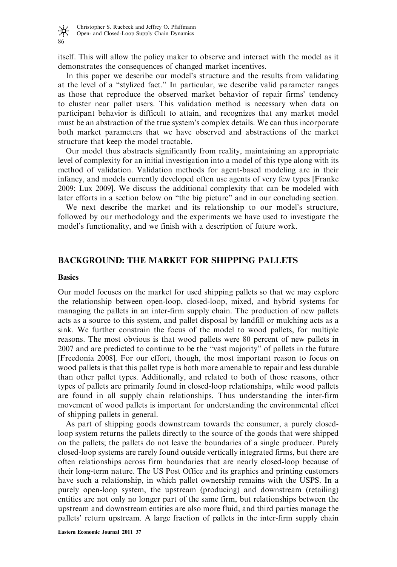

itself. This will allow the policy maker to observe and interact with the model as it demonstrates the consequences of changed market incentives.

In this paper we describe our model's structure and the results from validating at the level of a "stylized fact." In particular, we describe valid parameter ranges as those that reproduce the observed market behavior of repair firms' tendency to cluster near pallet users. This validation method is necessary when data on participant behavior is difficult to attain, and recognizes that any market model must be an abstraction of the true system's complex details. We can thus incorporate both market parameters that we have observed and abstractions of the market structure that keep the model tractable.

Our model thus abstracts significantly from reality, maintaining an appropriate level of complexity for an initial investigation into a model of this type along with its method of validation. Validation methods for agent-based modeling are in their infancy, and models currently developed often use agents of very few types [Franke 2009; Lux 2009]. We discuss the additional complexity that can be modeled with later efforts in a section below on "the big picture" and in our concluding section.

We next describe the market and its relationship to our model's structure, followed by our methodology and the experiments we have used to investigate the model's functionality, and we finish with a description of future work.

## BACKGROUND: THE MARKET FOR SHIPPING PALLETS

#### **Basics**

Our model focuses on the market for used shipping pallets so that we may explore the relationship between open-loop, closed-loop, mixed, and hybrid systems for managing the pallets in an inter-firm supply chain. The production of new pallets acts as a source to this system, and pallet disposal by landfill or mulching acts as a sink. We further constrain the focus of the model to wood pallets, for multiple reasons. The most obvious is that wood pallets were 80 percent of new pallets in 2007 and are predicted to continue to be the "vast majority" of pallets in the future [Freedonia 2008]. For our effort, though, the most important reason to focus on wood pallets is that this pallet type is both more amenable to repair and less durable than other pallet types. Additionally, and related to both of those reasons, other types of pallets are primarily found in closed-loop relationships, while wood pallets are found in all supply chain relationships. Thus understanding the inter-firm movement of wood pallets is important for understanding the environmental effect of shipping pallets in general.

As part of shipping goods downstream towards the consumer, a purely closedloop system returns the pallets directly to the source of the goods that were shipped on the pallets; the pallets do not leave the boundaries of a single producer. Purely closed-loop systems are rarely found outside vertically integrated firms, but there are often relationships across firm boundaries that are nearly closed-loop because of their long-term nature. The US Post Office and its graphics and printing customers have such a relationship, in which pallet ownership remains with the USPS. In a purely open-loop system, the upstream (producing) and downstream (retailing) entities are not only no longer part of the same firm, but relationships between the upstream and downstream entities are also more fluid, and third parties manage the pallets' return upstream. A large fraction of pallets in the inter-firm supply chain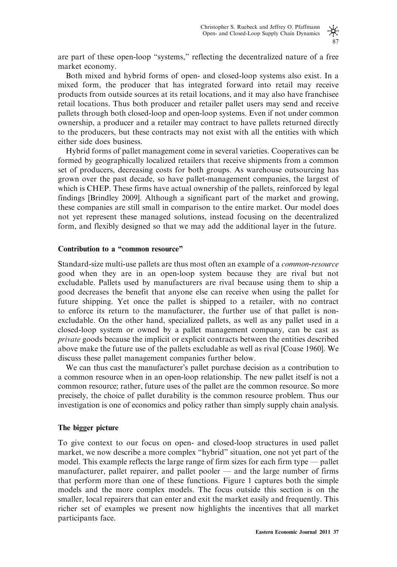

are part of these open-loop "systems," reflecting the decentralized nature of a free market economy.

Both mixed and hybrid forms of open- and closed-loop systems also exist. In a mixed form, the producer that has integrated forward into retail may receive products from outside sources at its retail locations, and it may also have franchisee retail locations. Thus both producer and retailer pallet users may send and receive pallets through both closed-loop and open-loop systems. Even if not under common ownership, a producer and a retailer may contract to have pallets returned directly to the producers, but these contracts may not exist with all the entities with which either side does business.

Hybrid forms of pallet management come in several varieties. Cooperatives can be formed by geographically localized retailers that receive shipments from a common set of producers, decreasing costs for both groups. As warehouse outsourcing has grown over the past decade, so have pallet-management companies, the largest of which is CHEP. These firms have actual ownership of the pallets, reinforced by legal findings [Brindley 2009]. Although a significant part of the market and growing, these companies are still small in comparison to the entire market. Our model does not yet represent these managed solutions, instead focusing on the decentralized form, and flexibly designed so that we may add the additional layer in the future.

## Contribution to a "common resource"

Standard-size multi-use pallets are thus most often an example of a common-resource good when they are in an open-loop system because they are rival but not excludable. Pallets used by manufacturers are rival because using them to ship a good decreases the benefit that anyone else can receive when using the pallet for future shipping. Yet once the pallet is shipped to a retailer, with no contract to enforce its return to the manufacturer, the further use of that pallet is nonexcludable. On the other hand, specialized pallets, as well as any pallet used in a closed-loop system or owned by a pallet management company, can be cast as private goods because the implicit or explicit contracts between the entities described above make the future use of the pallets excludable as well as rival [Coase 1960]. We discuss these pallet management companies further below.

We can thus cast the manufacturer's pallet purchase decision as a contribution to a common resource when in an open-loop relationship. The new pallet itself is not a common resource; rather, future uses of the pallet are the common resource. So more precisely, the choice of pallet durability is the common resource problem. Thus our investigation is one of economics and policy rather than simply supply chain analysis.

#### The bigger picture

To give context to our focus on open- and closed-loop structures in used pallet market, we now describe a more complex "hybrid" situation, one not yet part of the model. This example reflects the large range of firm sizes for each firm type — pallet manufacturer, pallet repairer, and pallet pooler — and the large number of firms that perform more than one of these functions. Figure 1 captures both the simple models and the more complex models. The focus outside this section is on the smaller, local repairers that can enter and exit the market easily and frequently. This richer set of examples we present now highlights the incentives that all market participants face.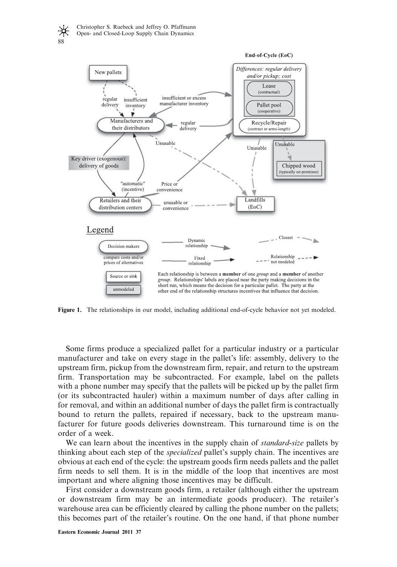

Figure 1. The relationships in our model, including additional end-of-cycle behavior not yet modeled.

Some firms produce a specialized pallet for a particular industry or a particular manufacturer and take on every stage in the pallet's life: assembly, delivery to the upstream firm, pickup from the downstream firm, repair, and return to the upstream firm. Transportation may be subcontracted. For example, label on the pallets with a phone number may specify that the pallets will be picked up by the pallet firm (or its subcontracted hauler) within a maximum number of days after calling in for removal, and within an additional number of days the pallet firm is contractually bound to return the pallets, repaired if necessary, back to the upstream manufacturer for future goods deliveries downstream. This turnaround time is on the order of a week.

We can learn about the incentives in the supply chain of *standard-size* pallets by thinking about each step of the specialized pallet's supply chain. The incentives are obvious at each end of the cycle: the upstream goods firm needs pallets and the pallet firm needs to sell them. It is in the middle of the loop that incentives are most important and where aligning those incentives may be difficult.

First consider a downstream goods firm, a retailer (although either the upstream or downstream firm may be an intermediate goods producer). The retailer's warehouse area can be efficiently cleared by calling the phone number on the pallets; this becomes part of the retailer's routine. On the one hand, if that phone number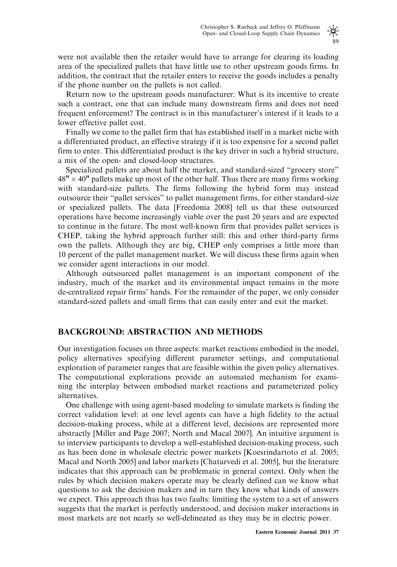were not available then the retailer would have to arrange for clearing its loading area of the specialized pallets that have little use to other upstream goods firms. In addition, the contract that the retailer enters to receive the goods includes a penalty if the phone number on the pallets is not called.

Return now to the upstream goods manufacturer: What is its incentive to create such a contract, one that can include many downstream firms and does not need frequent enforcement? The contract is in this manufacturer's interest if it leads to a lower effective pallet cost.

Finally we come to the pallet firm that has established itself in a market niche with a differentiated product, an effective strategy if it is too expensive for a second pallet firm to enter. This differentiated product is the key driver in such a hybrid structure, a mix of the open- and closed-loop structures.

Specialized pallets are about half the market, and standard-sized "grocery store"  $48" \times 40"$  pallets make up most of the other half. Thus there are many firms working with standard-size pallets. The firms following the hybrid form may instead outsource their "pallet services" to pallet management firms, for either standard-size or specialized pallets. The data [Freedonia 2008] tell us that these outsourced operations have become increasingly viable over the past 20 years and are expected to continue in the future. The most well-known firm that provides pallet services is CHEP, taking the hybrid approach further still: this and other third-party firms own the pallets. Although they are big, CHEP only comprises a little more than 10 percent of the pallet management market. We will discuss these firms again when we consider agent interactions in our model.

Although outsourced pallet management is an important component of the industry, much of the market and its environmental impact remains in the more de-centralized repair firms' hands. For the remainder of the paper, we only consider standard-sized pallets and small firms that can easily enter and exit the market.

## BACKGROUND: ABSTRACTION AND METHODS

Our investigation focuses on three aspects: market reactions embodied in the model, policy alternatives specifying different parameter settings, and computational exploration of parameter ranges that are feasible within the given policy alternatives. The computational explorations provide an automated mechanism for examining the interplay between embodied market reactions and parameterized policy alternatives.

One challenge with using agent-based modeling to simulate markets is finding the correct validation level: at one level agents can have a high fidelity to the actual decision-making process, while at a different level, decisions are represented more abstractly [Miller and Page 2007; North and Macal 2007]. An intuitive argument is to interview participants to develop a well-established decision-making process, such as has been done in wholesale electric power markets [Koesrindartoto et al. 2005; Macal and North 2005] and labor markets [Chaturvedi et al. 2005], but the literature indicates that this approach can be problematic in general context. Only when the rules by which decision makers operate may be clearly defined can we know what questions to ask the decision makers and in turn they know what kinds of answers we expect. This approach thus has two faults: limiting the system to a set of answers suggests that the market is perfectly understood, and decision maker interactions in most markets are not nearly so well-delineated as they may be in electric power.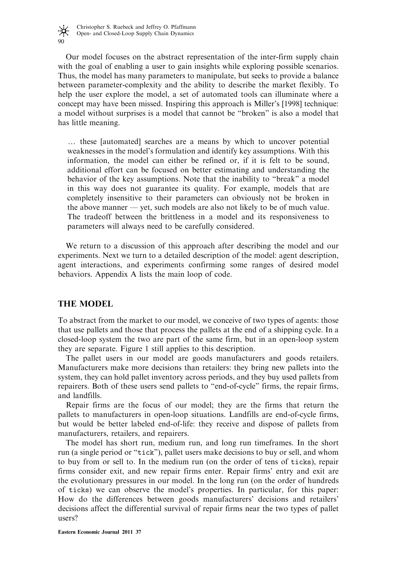Our model focuses on the abstract representation of the inter-firm supply chain with the goal of enabling a user to gain insights while exploring possible scenarios. Thus, the model has many parameters to manipulate, but seeks to provide a balance between parameter-complexity and the ability to describe the market flexibly. To help the user explore the model, a set of automated tools can illuminate where a concept may have been missed. Inspiring this approach is Miller's [1998] technique: a model without surprises is a model that cannot be "broken" is also a model that has little meaning.

 $\ldots$  these [automated] searches are a means by which to uncover potential weaknesses in the model's formulation and identify key assumptions. With this information, the model can either be refined or, if it is felt to be sound, additional effort can be focused on better estimating and understanding the behavior of the key assumptions. Note that the inability to "break" a model in this way does not guarantee its quality. For example, models that are completely insensitive to their parameters can obviously not be broken in the above manner — yet, such models are also not likely to be of much value. The tradeoff between the brittleness in a model and its responsiveness to parameters will always need to be carefully considered.

We return to a discussion of this approach after describing the model and our experiments. Next we turn to a detailed description of the model: agent description, agent interactions, and experiments confirming some ranges of desired model behaviors. Appendix A lists the main loop of code.

## THE MODEL

To abstract from the market to our model, we conceive of two types of agents: those that use pallets and those that process the pallets at the end of a shipping cycle. In a closed-loop system the two are part of the same firm, but in an open-loop system they are separate. Figure 1 still applies to this description.

The pallet users in our model are goods manufacturers and goods retailers. Manufacturers make more decisions than retailers: they bring new pallets into the system, they can hold pallet inventory across periods, and they buy used pallets from repairers. Both of these users send pallets to "end-of-cycle" firms, the repair firms, and landfills.

Repair firms are the focus of our model; they are the firms that return the pallets to manufacturers in open-loop situations. Landfills are end-of-cycle firms, but would be better labeled end-of-life: they receive and dispose of pallets from manufacturers, retailers, and repairers.

The model has short run, medium run, and long run timeframes. In the short run (a single period or "tick"), pallet users make decisions to buy or sell, and whom to buy from or sell to. In the medium run (on the order of tens of ticks), repair firms consider exit, and new repair firms enter. Repair firms' entry and exit are the evolutionary pressures in our model. In the long run (on the order of hundreds of ticks) we can observe the model's properties. In particular, for this paper: How do the differences between goods manufacturers' decisions and retailers' decisions affect the differential survival of repair firms near the two types of pallet users?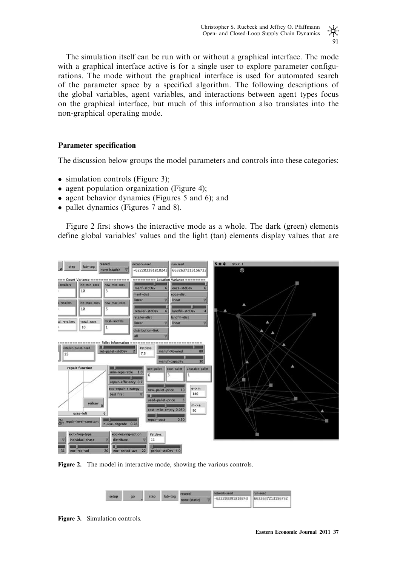The simulation itself can be run with or without a graphical interface. The mode with a graphical interface active is for a single user to explore parameter configurations. The mode without the graphical interface is used for automated search of the parameter space by a specified algorithm. The following descriptions of the global variables, agent variables, and interactions between agent types focus on the graphical interface, but much of this information also translates into the non-graphical operating mode.

#### Parameter specification

The discussion below groups the model parameters and controls into these categories:

- simulation controls (Figure 3);
- agent population organization (Figure 4);
- agent behavior dynamics (Figures 5 and 6); and
- pallet dynamics (Figures 7 and 8).

Figure 2 first shows the interactive mode as a whole. The dark (green) elements define global variables' values and the light (tan) elements display values that are



Figure 2. The model in interactive mode, showing the various controls.

|  | setup<br>go |      | lab-tog | reseed        | network-seed | run-seed                            |  |
|--|-------------|------|---------|---------------|--------------|-------------------------------------|--|
|  |             | step |         | none (static) |              | $-622203391810243$ 6632637213156732 |  |
|  |             |      |         |               |              |                                     |  |

Figure 3. Simulation controls.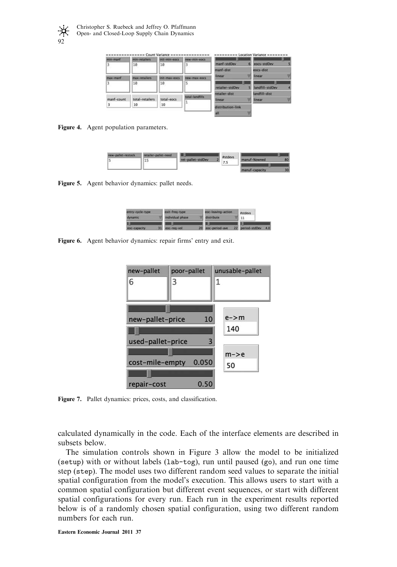| min-manf   | min-retailers   | init-min-eocs | new-min-eocs    |                   |   |                 |  |
|------------|-----------------|---------------|-----------------|-------------------|---|-----------------|--|
| 3          | 10              | 10            |                 | manf-stdDev       | 6 | eocs-stdDev     |  |
|            |                 |               |                 | manf-dist         |   | eocs-dist       |  |
| max-manf   | max-retailers   | init-max-eocs | new-max-eocs    | linear            |   | linear          |  |
|            | 10              | 10            | 5               | retailer-stdDev   |   | landfill-stdDev |  |
|            |                 |               | total-landfills | retailer-dist     |   | landfill-dist   |  |
| manf-count | total-retailers | total-eocs    | ı               | linear            |   | linear          |  |
|            | 10              | 10            |                 | distribution-link |   |                 |  |
|            |                 |               |                 | all               |   |                 |  |

Figure 4. Agent population parameters.

| new-pallet-restock | retailer-pallet-need |                   | #stdevs |                |    |
|--------------------|----------------------|-------------------|---------|----------------|----|
|                    | 54E<br>22            | ret-pallet-stdDev | 7.5     | manuf-%owned   |    |
|                    |                      |                   |         | manuf-capacity | 30 |

Figure 5. Agent behavior dynamics: pallet needs.

| entry-cycle-type | exit-freq-type   | eoc-leaving-action | #stdevs                 |
|------------------|------------------|--------------------|-------------------------|
| dynamic          | individual phase | distribute         |                         |
|                  |                  |                    |                         |
| eoc-capacity     | 31 eoc-req-vol   | 20 eoc-period-ave  | 22 period-stdDev<br>4.0 |

Figure 6. Agent behavior dynamics: repair firms' entry and exit.

| new-pallet        | poor-pallet | unusable-pallet |
|-------------------|-------------|-----------------|
| 6                 | 3           | 1               |
|                   |             |                 |
|                   |             |                 |
| new-pallet-price  | 10          | $e$ ->m         |
|                   |             | 140             |
| used-pallet-price | 3           |                 |
|                   |             | $m->e$          |
| cost-mile-empty   | 0.050       | 50              |
|                   |             |                 |
| repair-cost       | 0.50        |                 |

Figure 7. Pallet dynamics: prices, costs, and classification.

calculated dynamically in the code. Each of the interface elements are described in subsets below.

The simulation controls shown in Figure 3 allow the model to be initialized (setup) with or without labels (lab-tog), run until paused (go), and run one time step (step). The model uses two different random seed values to separate the initial spatial configuration from the model's execution. This allows users to start with a common spatial configuration but different event sequences, or start with different spatial configurations for every run. Each run in the experiment results reported below is of a randomly chosen spatial configuration, using two different random numbers for each run.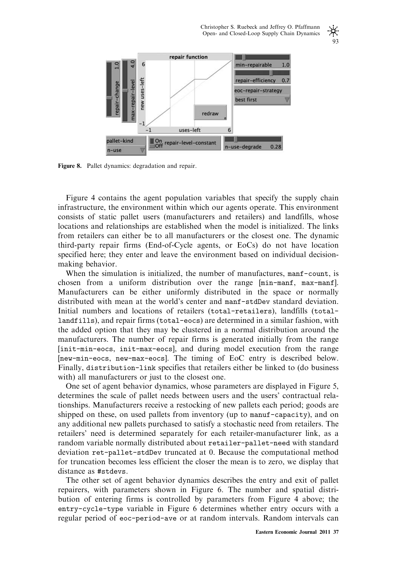

Figure 8. Pallet dynamics: degradation and repair.

Figure 4 contains the agent population variables that specify the supply chain infrastructure, the environment within which our agents operate. This environment consists of static pallet users (manufacturers and retailers) and landfills, whose locations and relationships are established when the model is initialized. The links from retailers can either be to all manufacturers or the closest one. The dynamic third-party repair firms (End-of-Cycle agents, or EoCs) do not have location specified here; they enter and leave the environment based on individual decisionmaking behavior.

When the simulation is initialized, the number of manufactures, manf-count, is chosen from a uniform distribution over the range [min-manf, max-manf]. Manufacturers can be either uniformly distributed in the space or normally distributed with mean at the world's center and manf-stdDev standard deviation. Initial numbers and locations of retailers (total-retailers), landfills (totallandfills), and repair firms (total-eocs) are determined in a similar fashion, with the added option that they may be clustered in a normal distribution around the manufacturers. The number of repair firms is generated initially from the range [init-min-eocs, init-max-eocs], and during model execution from the range [new-min-eocs, new-max-eocs]. The timing of EoC entry is described below. Finally, distribution-link specifies that retailers either be linked to (do business with) all manufacturers or just to the closest one.

One set of agent behavior dynamics, whose parameters are displayed in Figure 5, determines the scale of pallet needs between users and the users' contractual relationships. Manufacturers receive a restocking of new pallets each period; goods are shipped on these, on used pallets from inventory (up to manuf-capacity), and on any additional new pallets purchased to satisfy a stochastic need from retailers. The retailers' need is determined separately for each retailer-manufacturer link, as a random variable normally distributed about retailer-pallet-need with standard deviation ret-pallet-stdDev truncated at 0. Because the computational method for truncation becomes less efficient the closer the mean is to zero, we display that distance as #stdevs.

The other set of agent behavior dynamics describes the entry and exit of pallet repairers, with parameters shown in Figure 6. The number and spatial distribution of entering firms is controlled by parameters from Figure 4 above; the entry-cycle-type variable in Figure 6 determines whether entry occurs with a regular period of eoc-period-ave or at random intervals. Random intervals can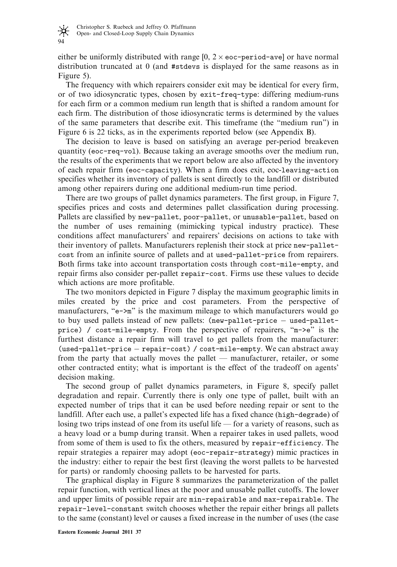

either be uniformly distributed with range [0, 2  $\times$  eoc-per<code>iod-ave]</code> or have normal distribution truncated at 0 (and #stdevs is displayed for the same reasons as in Figure 5).

The frequency with which repairers consider exit may be identical for every firm, or of two idiosyncratic types, chosen by exit-freq-type: differing medium-runs for each firm or a common medium run length that is shifted a random amount for each firm. The distribution of those idiosyncratic terms is determined by the values of the same parameters that describe exit. This timeframe (the "medium run") in Figure 6 is 22 ticks, as in the experiments reported below (see Appendix B).

The decision to leave is based on satisfying an average per-period breakeven quantity (eoc-req-vol). Because taking an average smooths over the medium run, the results of the experiments that we report below are also affected by the inventory of each repair firm (eoc-capacity). When a firm does exit, eoc-leaving-action specifies whether its inventory of pallets is sent directly to the landfill or distributed among other repairers during one additional medium-run time period.

There are two groups of pallet dynamics parameters. The first group, in Figure 7, specifies prices and costs and determines pallet classification during processing. Pallets are classified by new-pallet, poor-pallet, or unusable-pallet, based on the number of uses remaining (mimicking typical industry practice). These conditions affect manufacturers' and repairers' decisions on actions to take with their inventory of pallets. Manufacturers replenish their stock at price new-palletcost from an infinite source of pallets and at used-pallet-price from repairers. Both firms take into account transportation costs through cost-mile-empty, and repair firms also consider per-pallet repair-cost. Firms use these values to decide which actions are more profitable.

The two monitors depicted in Figure 7 display the maximum geographic limits in miles created by the price and cost parameters. From the perspective of manufacturers, " $e$ - $\geq$ m" is the maximum mileage to which manufacturers would go to buy used pallets instead of new pallets: (new-pallet-price  $-$  used-palletprice) / cost-mile-empty. From the perspective of repairers, " $m$ ->e" is the furthest distance a repair firm will travel to get pallets from the manufacturer:  $(used-pallet-price-repair-cost) / cost-mile-empty. We can abstract away$ from the party that actually moves the pallet — manufacturer, retailer, or some other contracted entity; what is important is the effect of the tradeoff on agents' decision making.

The second group of pallet dynamics parameters, in Figure 8, specify pallet degradation and repair. Currently there is only one type of pallet, built with an expected number of trips that it can be used before needing repair or sent to the landfill. After each use, a pallet's expected life has a fixed chance (high-degrade) of losing two trips instead of one from its useful life — for a variety of reasons, such as a heavy load or a bump during transit. When a repairer takes in used pallets, wood from some of them is used to fix the others, measured by repair-efficiency. The repair strategies a repairer may adopt (eoc-repair-strategy) mimic practices in the industry: either to repair the best first (leaving the worst pallets to be harvested for parts) or randomly choosing pallets to be harvested for parts.

The graphical display in Figure 8 summarizes the parameterization of the pallet repair function, with vertical lines at the poor and unusable pallet cutoffs. The lower and upper limits of possible repair are min-repairable and max-repairable. The repair-level-constant switch chooses whether the repair either brings all pallets to the same (constant) level or causes a fixed increase in the number of uses (the case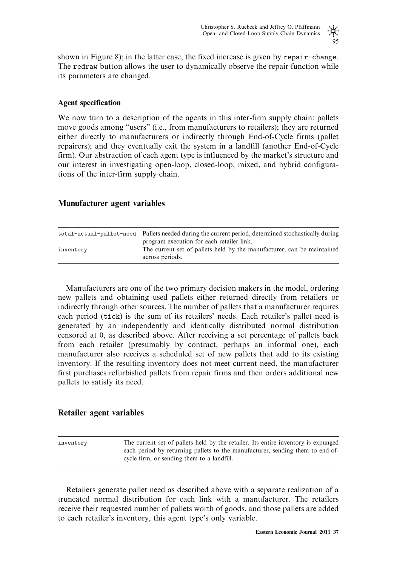shown in Figure 8); in the latter case, the fixed increase is given by repair-change. The redraw button allows the user to dynamically observe the repair function while its parameters are changed.

#### Agent specification

We now turn to a description of the agents in this inter-firm supply chain: pallets move goods among "users" (i.e., from manufacturers to retailers); they are returned either directly to manufacturers or indirectly through End-of-Cycle firms (pallet repairers); and they eventually exit the system in a landfill (another End-of-Cycle firm). Our abstraction of each agent type is influenced by the market's structure and our interest in investigating open-loop, closed-loop, mixed, and hybrid configurations of the inter-firm supply chain.

#### Manufacturer agent variables

|           | total-actual-pallet-need Pallets needed during the current period, determined stochastically during                                    |
|-----------|----------------------------------------------------------------------------------------------------------------------------------------|
| inventory | program execution for each retailer link.<br>The current set of pallets held by the manufacturer; can be maintained<br>across periods. |

Manufacturers are one of the two primary decision makers in the model, ordering new pallets and obtaining used pallets either returned directly from retailers or indirectly through other sources. The number of pallets that a manufacturer requires each period (tick) is the sum of its retailers' needs. Each retailer's pallet need is generated by an independently and identically distributed normal distribution censored at 0, as described above. After receiving a set percentage of pallets back from each retailer (presumably by contract, perhaps an informal one), each manufacturer also receives a scheduled set of new pallets that add to its existing inventory. If the resulting inventory does not meet current need, the manufacturer first purchases refurbished pallets from repair firms and then orders additional new pallets to satisfy its need.

## Retailer agent variables

inventory The current set of pallets held by the retailer. Its entire inventory is expunged each period by returning pallets to the manufacturer, sending them to end-ofcycle firm, or sending them to a landfill.

Retailers generate pallet need as described above with a separate realization of a truncated normal distribution for each link with a manufacturer. The retailers receive their requested number of pallets worth of goods, and those pallets are added to each retailer's inventory, this agent type's only variable.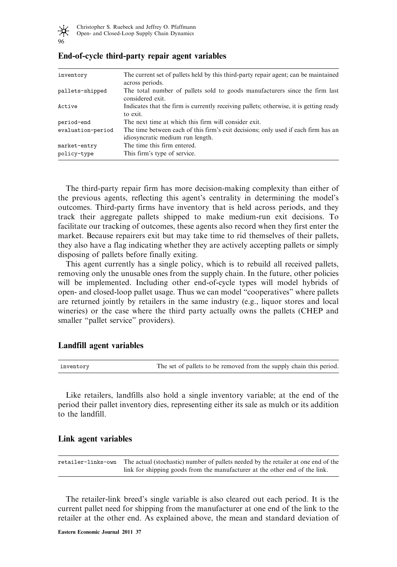

| inventory         | The current set of pallets held by this third-party repair agent; can be maintained<br>across periods.                 |
|-------------------|------------------------------------------------------------------------------------------------------------------------|
| pallets-shipped   | The total number of pallets sold to goods manufacturers since the firm last<br>considered exit.                        |
| Active            | Indicates that the firm is currently receiving pallets; otherwise, it is getting ready<br>to exit.                     |
| period-end        | The next time at which this firm will consider exit.                                                                   |
| evaluation-period | The time between each of this firm's exit decisions; only used if each firm has an<br>idiosyncratic medium run length. |
| market-entry      | The time this firm entered.                                                                                            |
| policy-type       | This firm's type of service.                                                                                           |

## End-of-cycle third-party repair agent variables

The third-party repair firm has more decision-making complexity than either of the previous agents, reflecting this agent's centrality in determining the model's outcomes. Third-party firms have inventory that is held across periods, and they track their aggregate pallets shipped to make medium-run exit decisions. To facilitate our tracking of outcomes, these agents also record when they first enter the market. Because repairers exit but may take time to rid themselves of their pallets, they also have a flag indicating whether they are actively accepting pallets or simply disposing of pallets before finally exiting.

This agent currently has a single policy, which is to rebuild all received pallets, removing only the unusable ones from the supply chain. In the future, other policies will be implemented. Including other end-of-cycle types will model hybrids of open- and closed-loop pallet usage. Thus we can model "cooperatives" where pallets are returned jointly by retailers in the same industry (e.g., liquor stores and local wineries) or the case where the third party actually owns the pallets (CHEP and smaller "pallet service" providers).

## Landfill agent variables

inventory The set of pallets to be removed from the supply chain this period.

Like retailers, landfills also hold a single inventory variable; at the end of the period their pallet inventory dies, representing either its sale as mulch or its addition to the landfill.

## Link agent variables

retailer-links-own The actual (stochastic) number of pallets needed by the retailer at one end of the link for shipping goods from the manufacturer at the other end of the link.

The retailer-link breed's single variable is also cleared out each period. It is the current pallet need for shipping from the manufacturer at one end of the link to the retailer at the other end. As explained above, the mean and standard deviation of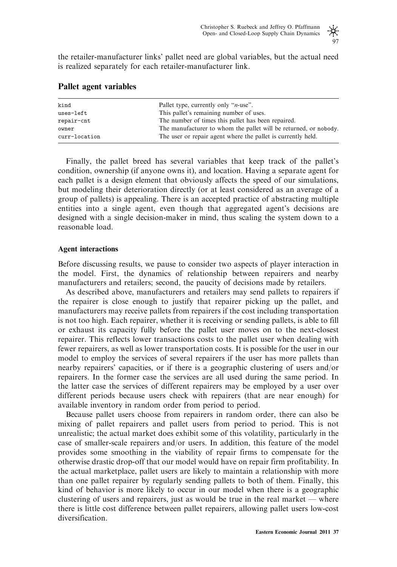the retailer-manufacturer links' pallet need are global variables, but the actual need is realized separately for each retailer-manufacturer link.

| kind          | Pallet type, currently only " <i>n</i> -use".                    |
|---------------|------------------------------------------------------------------|
| uses-left     | This pallet's remaining number of uses.                          |
| repair-cnt    | The number of times this pallet has been repaired.               |
| owner         | The manufacturer to whom the pallet will be returned, or nobody. |
| curr-location | The user or repair agent where the pallet is currently held.     |

## Pallet agent variables

Finally, the pallet breed has several variables that keep track of the pallet's condition, ownership (if anyone owns it), and location. Having a separate agent for each pallet is a design element that obviously affects the speed of our simulations, but modeling their deterioration directly (or at least considered as an average of a group of pallets) is appealing. There is an accepted practice of abstracting multiple entities into a single agent, even though that aggregated agent's decisions are designed with a single decision-maker in mind, thus scaling the system down to a reasonable load.

#### Agent interactions

Before discussing results, we pause to consider two aspects of player interaction in the model. First, the dynamics of relationship between repairers and nearby manufacturers and retailers; second, the paucity of decisions made by retailers.

As described above, manufacturers and retailers may send pallets to repairers if the repairer is close enough to justify that repairer picking up the pallet, and manufacturers may receive pallets from repairers if the cost including transportation is not too high. Each repairer, whether it is receiving or sending pallets, is able to fill or exhaust its capacity fully before the pallet user moves on to the next-closest repairer. This reflects lower transactions costs to the pallet user when dealing with fewer repairers, as well as lower transportation costs. It is possible for the user in our model to employ the services of several repairers if the user has more pallets than nearby repairers' capacities, or if there is a geographic clustering of users and/or repairers. In the former case the services are all used during the same period. In the latter case the services of different repairers may be employed by a user over different periods because users check with repairers (that are near enough) for available inventory in random order from period to period.

Because pallet users choose from repairers in random order, there can also be mixing of pallet repairers and pallet users from period to period. This is not unrealistic; the actual market does exhibit some of this volatility, particularly in the case of smaller-scale repairers and/or users. In addition, this feature of the model provides some smoothing in the viability of repair firms to compensate for the otherwise drastic drop-off that our model would have on repair firm profitability. In the actual marketplace, pallet users are likely to maintain a relationship with more than one pallet repairer by regularly sending pallets to both of them. Finally, this kind of behavior is more likely to occur in our model when there is a geographic clustering of users and repairers, just as would be true in the real market — where there is little cost difference between pallet repairers, allowing pallet users low-cost diversification.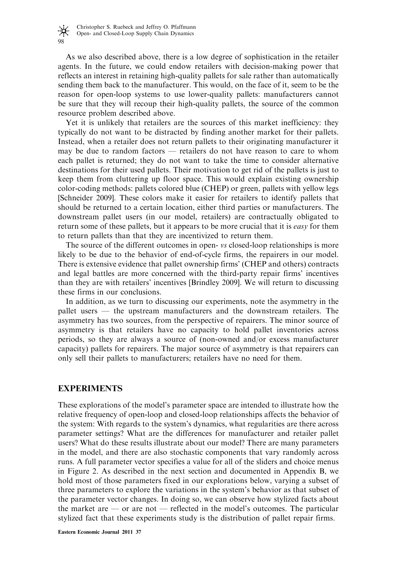₩.

As we also described above, there is a low degree of sophistication in the retailer agents. In the future, we could endow retailers with decision-making power that reflects an interest in retaining high-quality pallets for sale rather than automatically sending them back to the manufacturer. This would, on the face of it, seem to be the reason for open-loop systems to use lower-quality pallets: manufacturers cannot be sure that they will recoup their high-quality pallets, the source of the common resource problem described above.

Yet it is unlikely that retailers are the sources of this market inefficiency: they typically do not want to be distracted by finding another market for their pallets. Instead, when a retailer does not return pallets to their originating manufacturer it may be due to random factors — retailers do not have reason to care to whom each pallet is returned; they do not want to take the time to consider alternative destinations for their used pallets. Their motivation to get rid of the pallets is just to keep them from cluttering up floor space. This would explain existing ownership color-coding methods: pallets colored blue (CHEP) or green, pallets with yellow legs [Schneider 2009]. These colors make it easier for retailers to identify pallets that should be returned to a certain location, either third parties or manufacturers. The downstream pallet users (in our model, retailers) are contractually obligated to return some of these pallets, but it appears to be more crucial that it is easy for them to return pallets than that they are incentivized to return them.

The source of the different outcomes in open- vs closed-loop relationships is more likely to be due to the behavior of end-of-cycle firms, the repairers in our model. There is extensive evidence that pallet ownership firms' (CHEP and others) contracts and legal battles are more concerned with the third-party repair firms' incentives than they are with retailers' incentives [Brindley 2009]. We will return to discussing these firms in our conclusions.

In addition, as we turn to discussing our experiments, note the asymmetry in the pallet users — the upstream manufacturers and the downstream retailers. The asymmetry has two sources, from the perspective of repairers. The minor source of asymmetry is that retailers have no capacity to hold pallet inventories across periods, so they are always a source of (non-owned and/or excess manufacturer capacity) pallets for repairers. The major source of asymmetry is that repairers can only sell their pallets to manufacturers; retailers have no need for them.

#### EXPERIMENTS

These explorations of the model's parameter space are intended to illustrate how the relative frequency of open-loop and closed-loop relationships affects the behavior of the system: With regards to the system's dynamics, what regularities are there across parameter settings? What are the differences for manufacturer and retailer pallet users? What do these results illustrate about our model? There are many parameters in the model, and there are also stochastic components that vary randomly across runs. A full parameter vector specifies a value for all of the sliders and choice menus in Figure 2. As described in the next section and documented in Appendix B, we hold most of those parameters fixed in our explorations below, varying a subset of three parameters to explore the variations in the system's behavior as that subset of the parameter vector changes. In doing so, we can observe how stylized facts about the market are — or are not — reflected in the model's outcomes. The particular stylized fact that these experiments study is the distribution of pallet repair firms.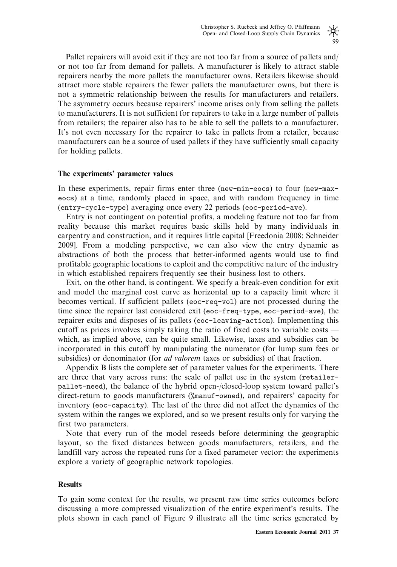₩ 99

Pallet repairers will avoid exit if they are not too far from a source of pallets and/ or not too far from demand for pallets. A manufacturer is likely to attract stable repairers nearby the more pallets the manufacturer owns. Retailers likewise should attract more stable repairers the fewer pallets the manufacturer owns, but there is not a symmetric relationship between the results for manufacturers and retailers. The asymmetry occurs because repairers' income arises only from selling the pallets to manufacturers. It is not sufficient for repairers to take in a large number of pallets from retailers; the repairer also has to be able to sell the pallets to a manufacturer. It's not even necessary for the repairer to take in pallets from a retailer, because manufacturers can be a source of used pallets if they have sufficiently small capacity for holding pallets.

#### The experiments' parameter values

In these experiments, repair firms enter three (new-min-eocs) to four (new-maxeocs) at a time, randomly placed in space, and with random frequency in time (entry-cycle-type) averaging once every 22 periods (eoc-period-ave).

Entry is not contingent on potential profits, a modeling feature not too far from reality because this market requires basic skills held by many individuals in carpentry and construction, and it requires little capital [Freedonia 2008; Schneider 2009]. From a modeling perspective, we can also view the entry dynamic as abstractions of both the process that better-informed agents would use to find profitable geographic locations to exploit and the competitive nature of the industry in which established repairers frequently see their business lost to others.

Exit, on the other hand, is contingent. We specify a break-even condition for exit and model the marginal cost curve as horizontal up to a capacity limit where it becomes vertical. If sufficient pallets (eoc-req-vol) are not processed during the time since the repairer last considered exit (eoc-freq-type, eoc-period-ave), the repairer exits and disposes of its pallets (eoc-leaving-action). Implementing this cutoff as prices involves simply taking the ratio of fixed costs to variable costs which, as implied above, can be quite small. Likewise, taxes and subsidies can be incorporated in this cutoff by manipulating the numerator (for lump sum fees or subsidies) or denominator (for *ad valorem* taxes or subsidies) of that fraction.

Appendix B lists the complete set of parameter values for the experiments. There are three that vary across runs: the scale of pallet use in the system (retailerpallet-need), the balance of the hybrid open-/closed-loop system toward pallet's direct-return to goods manufacturers (%manuf-owned), and repairers' capacity for inventory (eoc-capacity). The last of the three did not affect the dynamics of the system within the ranges we explored, and so we present results only for varying the first two parameters.

Note that every run of the model reseeds before determining the geographic layout, so the fixed distances between goods manufacturers, retailers, and the landfill vary across the repeated runs for a fixed parameter vector: the experiments explore a variety of geographic network topologies.

#### **Results**

To gain some context for the results, we present raw time series outcomes before discussing a more compressed visualization of the entire experiment's results. The plots shown in each panel of Figure 9 illustrate all the time series generated by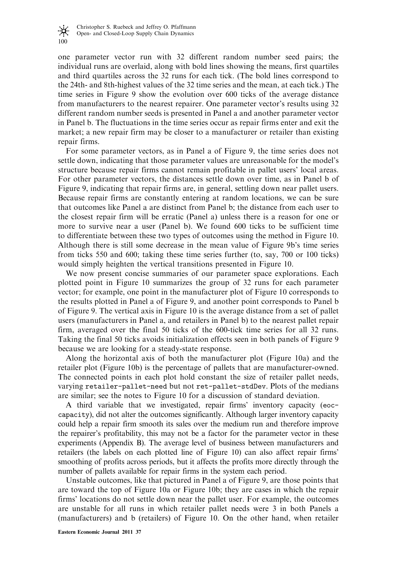

one parameter vector run with 32 different random number seed pairs; the individual runs are overlaid, along with bold lines showing the means, first quartiles and third quartiles across the 32 runs for each tick. (The bold lines correspond to the 24th- and 8th-highest values of the 32 time series and the mean, at each tick.) The time series in Figure 9 show the evolution over 600 ticks of the average distance from manufacturers to the nearest repairer. One parameter vector's results using 32 different random number seeds is presented in Panel a and another parameter vector in Panel b. The fluctuations in the time series occur as repair firms enter and exit the market; a new repair firm may be closer to a manufacturer or retailer than existing repair firms.

For some parameter vectors, as in Panel a of Figure 9, the time series does not settle down, indicating that those parameter values are unreasonable for the model's structure because repair firms cannot remain profitable in pallet users' local areas. For other parameter vectors, the distances settle down over time, as in Panel b of Figure 9, indicating that repair firms are, in general, settling down near pallet users. Because repair firms are constantly entering at random locations, we can be sure that outcomes like Panel a are distinct from Panel b; the distance from each user to the closest repair firm will be erratic (Panel a) unless there is a reason for one or more to survive near a user (Panel b). We found 600 ticks to be sufficient time to differentiate between these two types of outcomes using the method in Figure 10. Although there is still some decrease in the mean value of Figure 9b's time series from ticks 550 and 600; taking these time series further (to, say, 700 or 100 ticks) would simply heighten the vertical transitions presented in Figure 10.

We now present concise summaries of our parameter space explorations. Each plotted point in Figure 10 summarizes the group of 32 runs for each parameter vector; for example, one point in the manufacturer plot of Figure 10 corresponds to the results plotted in Panel a of Figure 9, and another point corresponds to Panel b of Figure 9. The vertical axis in Figure 10 is the average distance from a set of pallet users (manufacturers in Panel a, and retailers in Panel b) to the nearest pallet repair firm, averaged over the final 50 ticks of the 600-tick time series for all 32 runs. Taking the final 50 ticks avoids initialization effects seen in both panels of Figure 9 because we are looking for a steady-state response.

Along the horizontal axis of both the manufacturer plot (Figure 10a) and the retailer plot (Figure 10b) is the percentage of pallets that are manufacturer-owned. The connected points in each plot hold constant the size of retailer pallet needs, varying retailer-pallet-need but not ret-pallet-stdDev. Plots of the medians are similar; see the notes to Figure 10 for a discussion of standard deviation.

A third variable that we investigated, repair firms' inventory capacity (eoccapacity), did not alter the outcomes significantly. Although larger inventory capacity could help a repair firm smooth its sales over the medium run and therefore improve the repairer's profitability, this may not be a factor for the parameter vector in these experiments (Appendix B). The average level of business between manufacturers and retailers (the labels on each plotted line of Figure 10) can also affect repair firms' smoothing of profits across periods, but it affects the profits more directly through the number of pallets available for repair firms in the system each period.

Unstable outcomes, like that pictured in Panel a of Figure 9, are those points that are toward the top of Figure 10a or Figure 10b; they are cases in which the repair firms' locations do not settle down near the pallet user. For example, the outcomes are unstable for all runs in which retailer pallet needs were 3 in both Panels a (manufacturers) and b (retailers) of Figure 10. On the other hand, when retailer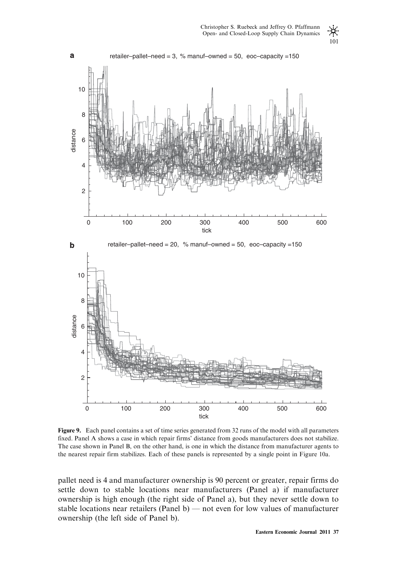

Figure 9. Each panel contains a set of time series generated from 32 runs of the model with all parameters fixed. Panel A shows a case in which repair firms' distance from goods manufacturers does not stabilize. The case shown in Panel B, on the other hand, is one in which the distance from manufacturer agents to the nearest repair firm stabilizes. Each of these panels is represented by a single point in Figure 10a.

pallet need is 4 and manufacturer ownership is 90 percent or greater, repair firms do settle down to stable locations near manufacturers (Panel a) if manufacturer ownership is high enough (the right side of Panel a), but they never settle down to stable locations near retailers (Panel b) — not even for low values of manufacturer ownership (the left side of Panel b).

101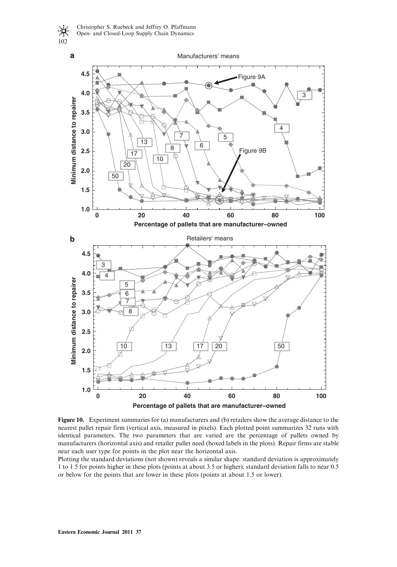

Figure 10. Experiment summaries for (a) manufacturers and (b) retailers show the average distance to the nearest pallet repair firm (vertical axis, measured in pixels). Each plotted point summarizes 32 runs with identical parameters. The two parameters that are varied are the percentage of pallets owned by manufacturers (horizontal axis) and retailer pallet need (boxed labels in the plots). Repair firms are stable near each user type for points in the plot near the horizontal axis.

Plotting the standard deviations (not shown) reveals a similar shape: standard deviation is approximately 1 to 1.5 for points higher in these plots (points at about 3.5 or higher); standard deviation falls to near 0.5 or below for the points that are lower in these plots (points at about 1.5 or lower).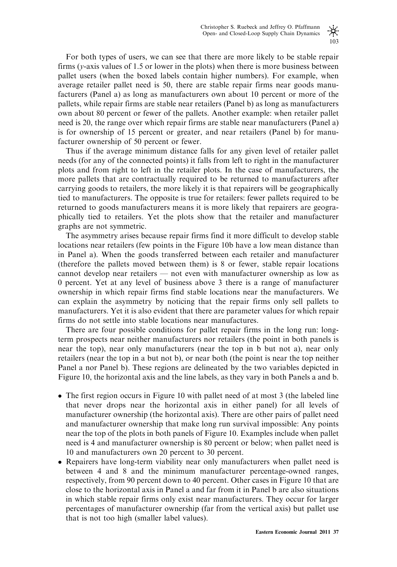For both types of users, we can see that there are more likely to be stable repair firms ( $y$ -axis values of 1.5 or lower in the plots) when there is more business between pallet users (when the boxed labels contain higher numbers). For example, when average retailer pallet need is 50, there are stable repair firms near goods manufacturers (Panel a) as long as manufacturers own about 10 percent or more of the pallets, while repair firms are stable near retailers (Panel b) as long as manufacturers own about 80 percent or fewer of the pallets. Another example: when retailer pallet need is 20, the range over which repair firms are stable near manufacturers (Panel a) is for ownership of 15 percent or greater, and near retailers (Panel b) for manufacturer ownership of 50 percent or fewer.

Thus if the average minimum distance falls for any given level of retailer pallet needs (for any of the connected points) it falls from left to right in the manufacturer plots and from right to left in the retailer plots. In the case of manufacturers, the more pallets that are contractually required to be returned to manufacturers after carrying goods to retailers, the more likely it is that repairers will be geographically tied to manufacturers. The opposite is true for retailers: fewer pallets required to be returned to goods manufacturers means it is more likely that repairers are geographically tied to retailers. Yet the plots show that the retailer and manufacturer graphs are not symmetric.

The asymmetry arises because repair firms find it more difficult to develop stable locations near retailers (few points in the Figure 10b have a low mean distance than in Panel a). When the goods transferred between each retailer and manufacturer (therefore the pallets moved between them) is 8 or fewer, stable repair locations cannot develop near retailers — not even with manufacturer ownership as low as 0 percent. Yet at any level of business above 3 there is a range of manufacturer ownership in which repair firms find stable locations near the manufacturers. We can explain the asymmetry by noticing that the repair firms only sell pallets to manufacturers. Yet it is also evident that there are parameter values for which repair firms do not settle into stable locations near manufactures.

There are four possible conditions for pallet repair firms in the long run: longterm prospects near neither manufacturers nor retailers (the point in both panels is near the top), near only manufacturers (near the top in b but not a), near only retailers (near the top in a but not b), or near both (the point is near the top neither Panel a nor Panel b). These regions are delineated by the two variables depicted in Figure 10, the horizontal axis and the line labels, as they vary in both Panels a and b.

- The first region occurs in Figure 10 with pallet need of at most 3 (the labeled line that never drops near the horizontal axis in either panel) for all levels of manufacturer ownership (the horizontal axis). There are other pairs of pallet need and manufacturer ownership that make long run survival impossible: Any points near the top of the plots in both panels of Figure 10. Examples include when pallet need is 4 and manufacturer ownership is 80 percent or below; when pallet need is 10 and manufacturers own 20 percent to 30 percent.
- Repairers have long-term viability near only manufacturers when pallet need is between 4 and 8 and the minimum manufacturer percentage-owned ranges, respectively, from 90 percent down to 40 percent. Other cases in Figure 10 that are close to the horizontal axis in Panel a and far from it in Panel b are also situations in which stable repair firms only exist near manufacturers. They occur for larger percentages of manufacturer ownership (far from the vertical axis) but pallet use that is not too high (smaller label values).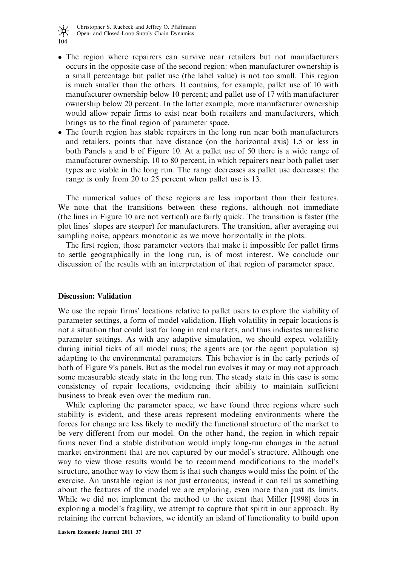

Christopher S. Ruebeck and Jeffrey O. Pfaffmann Open- and Closed-Loop Supply Chain Dynamics

- The region where repairers can survive near retailers but not manufacturers occurs in the opposite case of the second region: when manufacturer ownership is a small percentage but pallet use (the label value) is not too small. This region is much smaller than the others. It contains, for example, pallet use of 10 with manufacturer ownership below 10 percent; and pallet use of 17 with manufacturer ownership below 20 percent. In the latter example, more manufacturer ownership would allow repair firms to exist near both retailers and manufacturers, which brings us to the final region of parameter space.
- The fourth region has stable repairers in the long run near both manufacturers and retailers, points that have distance (on the horizontal axis) 1.5 or less in both Panels a and b of Figure 10. At a pallet use of 50 there is a wide range of manufacturer ownership, 10 to 80 percent, in which repairers near both pallet user types are viable in the long run. The range decreases as pallet use decreases: the range is only from 20 to 25 percent when pallet use is 13.

The numerical values of these regions are less important than their features. We note that the transitions between these regions, although not immediate (the lines in Figure 10 are not vertical) are fairly quick. The transition is faster (the plot lines' slopes are steeper) for manufacturers. The transition, after averaging out sampling noise, appears monotonic as we move horizontally in the plots.

The first region, those parameter vectors that make it impossible for pallet firms to settle geographically in the long run, is of most interest. We conclude our discussion of the results with an interpretation of that region of parameter space.

#### Discussion: Validation

We use the repair firms' locations relative to pallet users to explore the viability of parameter settings, a form of model validation. High volatility in repair locations is not a situation that could last for long in real markets, and thus indicates unrealistic parameter settings. As with any adaptive simulation, we should expect volatility during initial ticks of all model runs; the agents are (or the agent population is) adapting to the environmental parameters. This behavior is in the early periods of both of Figure 9's panels. But as the model run evolves it may or may not approach some measurable steady state in the long run. The steady state in this case is some consistency of repair locations, evidencing their ability to maintain sufficient business to break even over the medium run.

While exploring the parameter space, we have found three regions where such stability is evident, and these areas represent modeling environments where the forces for change are less likely to modify the functional structure of the market to be very different from our model. On the other hand, the region in which repair firms never find a stable distribution would imply long-run changes in the actual market environment that are not captured by our model's structure. Although one way to view those results would be to recommend modifications to the model's structure, another way to view them is that such changes would miss the point of the exercise. An unstable region is not just erroneous; instead it can tell us something about the features of the model we are exploring, even more than just its limits. While we did not implement the method to the extent that Miller [1998] does in exploring a model's fragility, we attempt to capture that spirit in our approach. By retaining the current behaviors, we identify an island of functionality to build upon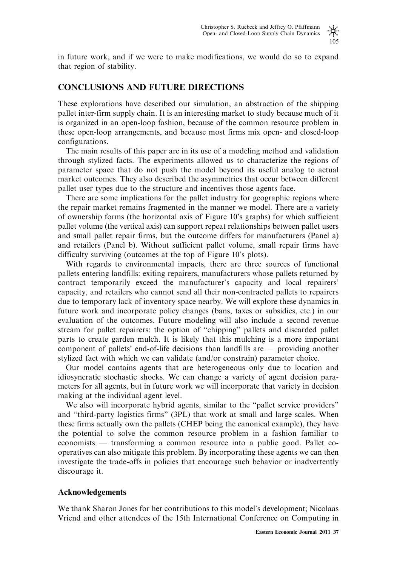in future work, and if we were to make modifications, we would do so to expand that region of stability.

## CONCLUSIONS AND FUTURE DIRECTIONS

These explorations have described our simulation, an abstraction of the shipping pallet inter-firm supply chain. It is an interesting market to study because much of it is organized in an open-loop fashion, because of the common resource problem in these open-loop arrangements, and because most firms mix open- and closed-loop configurations.

The main results of this paper are in its use of a modeling method and validation through stylized facts. The experiments allowed us to characterize the regions of parameter space that do not push the model beyond its useful analog to actual market outcomes. They also described the asymmetries that occur between different pallet user types due to the structure and incentives those agents face.

There are some implications for the pallet industry for geographic regions where the repair market remains fragmented in the manner we model. There are a variety of ownership forms (the horizontal axis of Figure 10's graphs) for which sufficient pallet volume (the vertical axis) can support repeat relationships between pallet users and small pallet repair firms, but the outcome differs for manufacturers (Panel a) and retailers (Panel b). Without sufficient pallet volume, small repair firms have difficulty surviving (outcomes at the top of Figure 10's plots).

With regards to environmental impacts, there are three sources of functional pallets entering landfills: exiting repairers, manufacturers whose pallets returned by contract temporarily exceed the manufacturer's capacity and local repairers' capacity, and retailers who cannot send all their non-contracted pallets to repairers due to temporary lack of inventory space nearby. We will explore these dynamics in future work and incorporate policy changes (bans, taxes or subsidies, etc.) in our evaluation of the outcomes. Future modeling will also include a second revenue stream for pallet repairers: the option of "chipping" pallets and discarded pallet parts to create garden mulch. It is likely that this mulching is a more important component of pallets' end-of-life decisions than landfills are — providing another stylized fact with which we can validate (and/or constrain) parameter choice.

Our model contains agents that are heterogeneous only due to location and idiosyncratic stochastic shocks. We can change a variety of agent decision parameters for all agents, but in future work we will incorporate that variety in decision making at the individual agent level.

We also will incorporate hybrid agents, similar to the "pallet service providers" and "third-party logistics firms" (3PL) that work at small and large scales. When these firms actually own the pallets (CHEP being the canonical example), they have the potential to solve the common resource problem in a fashion familiar to economists — transforming a common resource into a public good. Pallet cooperatives can also mitigate this problem. By incorporating these agents we can then investigate the trade-offs in policies that encourage such behavior or inadvertently discourage it.

#### Acknowledgements

We thank Sharon Jones for her contributions to this model's development; Nicolaas Vriend and other attendees of the 15th International Conference on Computing in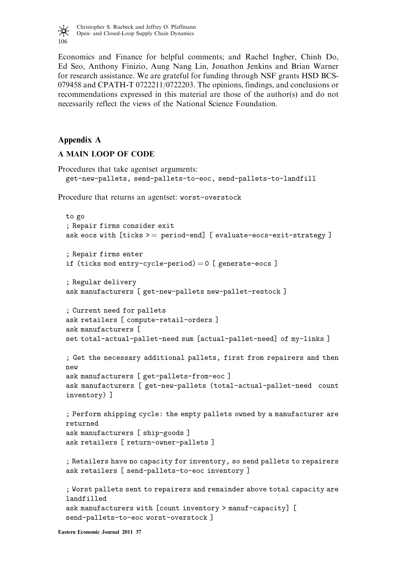

Economics and Finance for helpful comments; and Rachel Ingber, Chinh Do, Ed Seo, Anthony Finizio, Aung Nang Lin, Jonathon Jenkins and Brian Warner for research assistance. We are grateful for funding through NSF grants HSD BCS-079458 and CPATH-T 0722211/0722203. The opinions, findings, and conclusions or recommendations expressed in this material are those of the author(s) and do not necessarily reflect the views of the National Science Foundation.

## Appendix A

## A MAIN LOOP OF CODE

Eastern Economic Journal 2011 37

```
Procedures that take agentset arguments:
  get-new-pallets, send-pallets-to-eoc, send-pallets-to-landfill
Procedure that returns an agentset: worst-overstock
  to go
  ; Repair firms consider exit
  ask eocs with [ticks >= period-end] [ evaluate-eocs-exit-strategy ]
  ; Repair firms enter
  if (ticks mod entry-cycle-period) =0 [ generate-eocs ]
  ; Regular delivery
  ask manufacturers [ get-new-pallets new-pallet-restock ]
  ; Current need for pallets
  ask retailers [ compute-retail-orders ]
  ask manufacturers [
  set total-actual-pallet-need sum [actual-pallet-need] of my-links ]
  ; Get the necessary additional pallets, first from repairers and then
  new
  ask manufacturers [ get-pallets-from-eoc ]
  ask manufacturers [ get-new-pallets (total-actual-pallet-need count
  inventory) ]
  ; Perform shipping cycle: the empty pallets owned by a manufacturer are
  returned
  ask manufacturers [ ship-goods ]
  ask retailers [ return-owner-pallets ]
  ; Retailers have no capacity for inventory, so send pallets to repairers
  ask retailers [ send-pallets-to-eoc inventory ]
  ; Worst pallets sent to repairers and remainder above total capacity are
  landfilled
  ask manufacturers with [count inventory > manuf-capacity] [
  send-pallets-to-eoc worst-overstock ]
```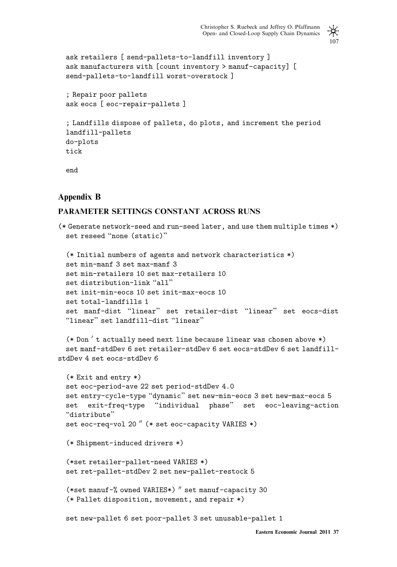```
ask retailers [ send-pallets-to-landfill inventory ]
ask manufacturers with [count inventory > manuf-capacity] [
send-pallets-to-landfill worst-overstock ]
```

```
; Repair poor pallets
ask eocs [ eoc-repair-pallets ]
```

```
; Landfills dispose of pallets, do plots, and increment the period
landfill-pallets
do-plots
tick
```
end

## Appendix B

#### PARAMETER SETTINGS CONSTANT ACROSS RUNS

```
(* Generate network-seed and run-seed later, and use them multiple times *)
 set reseed "none (static)"
  (* Initial numbers of agents and network characteristics *)
 set min-manf 3 set max-manf 3
 set min-retailers 10 set max-retailers 10
 set distribution-link "all"
 set init-min-eocs 10 set init-max-eocs 10
 set total-landfills 1
 set manf-dist "linear" set retailer-dist "linear" set eocs-dist
 "linear" set landfill-dist "linear"
  (* Don ' t actually need next line because linear was chosen above *)set manf-stdDev 6 set retailer-stdDev 6 set eocs-stdDev 6 set landfill-
stdDev 4 set eocs-stdDev 6
  (* Exit and entry *)
 set eoc-period-ave 22 set period-stdDev 4.0
 set entry-cycle-type "dynamic" set new-min-eocs 3 set new-max-eocs 5
 set exit-freq-type "individual phase" set eoc-leaving-action
 "distribute"
 set eoc-req-vol 20 '' (* set eoc-capacity VARIES *)
  (* Shipment-induced drivers *)
  (*set retailer-pallet-need VARIES *)
  set ret-pallet-stdDev 2 set new-pallet-restock 5
  (*set manuf-% owned VARIES*) '' set manuf-capacity 30
  (* Pallet disposition, movement, and repair *)
 set new-pallet 6 set poor-pallet 3 set unusable-pallet 1
```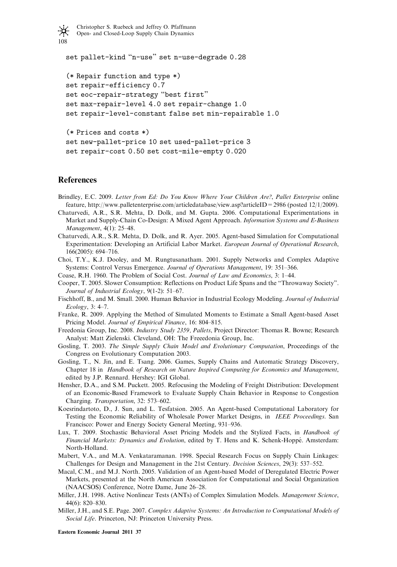```
set pallet-kind "n-use" set n-use-degrade 0.28
  (* Repair function and type *)
  set repair-efficiency 0.7
  set eoc-repair-strategy "best first"
  set max-repair-level 4.0 set repair-change 1.0
  set repair-level-constant false set min-repairable 1.0
  (* Prices and costs *)
  set new-pallet-price 10 set used-pallet-price 3
  set repair-cost 0.50 set cost-mile-empty 0.020
    Christopher S. Ruebeck and Jeffrey O. Pfaffmann
    Open- and Closed-Loop Supply Chain Dynamics
108
```
#### References

- Brindley, E.C. 2009. Letter from Ed: Do You Know Where Your Children Are?, Pallet Enterprise online feature, http://www.palletenterprise.com/articledatabase/view.asp?articleID=2986 (posted 12/1/2009).
- Chaturvedi, A.R., S.R. Mehta, D. Dolk, and M. Gupta. 2006. Computational Experimentations in Market and Supply-Chain Co-Design: A Mixed Agent Approach. Information Systems and E-Business Management, 4(1): 25–48.
- Chaturvedi, A.R., S.R. Mehta, D. Dolk, and R. Ayer. 2005. Agent-based Simulation for Computational Experimentation: Developing an Artificial Labor Market. European Journal of Operational Research, 166(2005): 694–716.
- Choi, T.Y., K.J. Dooley, and M. Rungtusanatham. 2001. Supply Networks and Complex Adaptive Systems: Control Versus Emergence. Journal of Operations Management, 19: 351-366.
- Coase, R.H. 1960. The Problem of Social Cost. Journal of Law and Economics, 3: 1–44.
- Cooper, T. 2005. Slower Consumption: Reflections on Product Life Spans and the "Throwaway Society". Journal of Industrial Ecology, 9(1-2): 51–67.
- Fischhoff, B., and M. Small. 2000. Human Behavior in Industrial Ecology Modeling. Journal of Industrial Ecology, 3: 4–7.
- Franke, R. 2009. Applying the Method of Simulated Moments to Estimate a Small Agent-based Asset Pricing Model. Journal of Empirical Finance, 16: 804–815.
- Freedonia Group, Inc. 2008. *Industry Study 2359, Pallets*, Project Director: Thomas R. Bowne; Research Analyst: Matt Zielenski. Cleveland, OH: The Freeedonia Group, Inc.
- Gosling, T. 2003. The Simple Supply Chain Model and Evolutionary Computation, Proceedings of the Congress on Evolutionary Computation 2003.
- Gosling, T., N. Jin, and E. Tsang. 2006. Games, Supply Chains and Automatic Strategy Discovery, Chapter 18 in Handbook of Research on Nature Inspired Computing for Economics and Management, edited by J.P. Rennard. Hershey: IGI Global.
- Hensher, D.A., and S.M. Puckett. 2005. Refocusing the Modeling of Freight Distribution: Development of an Economic-Based Framework to Evaluate Supply Chain Behavior in Response to Congestion Charging. Transportation, 32: 573–602.
- Koesrindartoto, D., J. Sun, and L. Tesfatsion. 2005. An Agent-based Computational Laboratory for Testing the Economic Reliability of Wholesale Power Market Designs, in IEEE Proceedings. San Francisco: Power and Energy Society General Meeting, 931–936.
- Lux, T. 2009. Stochastic Behavioral Asset Pricing Models and the Stylized Facts, in Handbook of Financial Markets: Dynamics and Evolution, edited by T. Hens and K. Schenk-Hoppé. Amsterdam: North-Holland.
- Mabert, V.A., and M.A. Venkataramanan. 1998. Special Research Focus on Supply Chain Linkages: Challenges for Design and Management in the 21st Century. Decision Sciences, 29(3): 537–552.
- Macal, C.M., and M.J. North. 2005. Validation of an Agent-based Model of Deregulated Electric Power Markets, presented at the North American Association for Computational and Social Organization (NAACSOS) Conference, Notre Dame, June 26–28.
- Miller, J.H. 1998. Active Nonlinear Tests (ANTs) of Complex Simulation Models. Management Science, 44(6): 820–830.
- Miller, J.H., and S.E. Page. 2007. Complex Adaptive Systems: An Introduction to Computational Models of Social Life. Princeton, NJ: Princeton University Press.